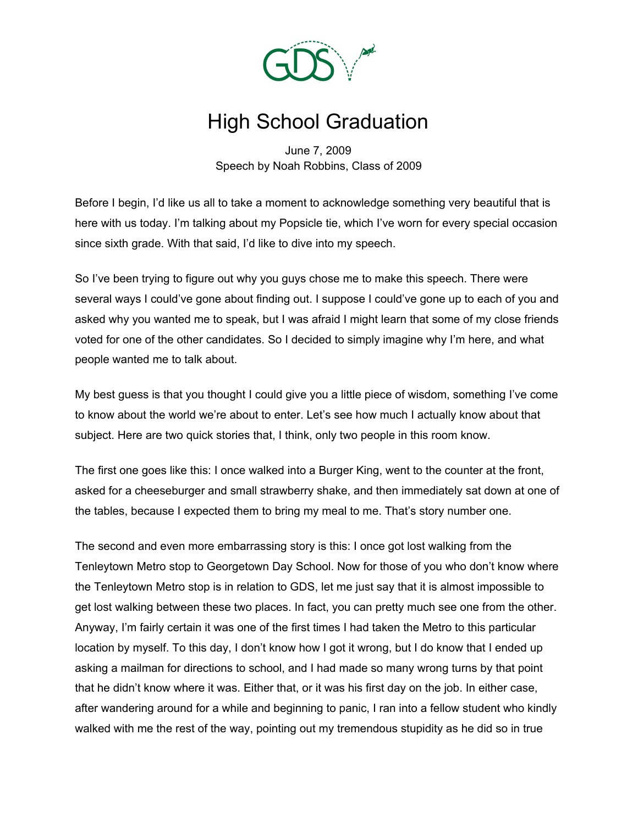

## High School Graduation

June 7, 2009 Speech by Noah Robbins, Class of 2009

Before I begin, I'd like us all to take a moment to acknowledge something very beautiful that is here with us today. I'm talking about my Popsicle tie, which I've worn for every special occasion since sixth grade. With that said, I'd like to dive into my speech.

So I've been trying to figure out why you guys chose me to make this speech. There were several ways I could've gone about finding out. I suppose I could've gone up to each of you and asked why you wanted me to speak, but I was afraid I might learn that some of my close friends voted for one of the other candidates. So I decided to simply imagine why I'm here, and what people wanted me to talk about.

My best guess is that you thought I could give you a little piece of wisdom, something I've come to know about the world we're about to enter. Let's see how much I actually know about that subject. Here are two quick stories that, I think, only two people in this room know.

The first one goes like this: I once walked into a Burger King, went to the counter at the front, asked for a cheeseburger and small strawberry shake, and then immediately sat down at one of the tables, because I expected them to bring my meal to me. That's story number one.

The second and even more embarrassing story is this: I once got lost walking from the Tenleytown Metro stop to Georgetown Day School. Now for those of you who don't know where the Tenleytown Metro stop is in relation to GDS, let me just say that it is almost impossible to get lost walking between these two places. In fact, you can pretty much see one from the other. Anyway, I'm fairly certain it was one of the first times I had taken the Metro to this particular location by myself. To this day, I don't know how I got it wrong, but I do know that I ended up asking a mailman for directions to school, and I had made so many wrong turns by that point that he didn't know where it was. Either that, or it was his first day on the job. In either case, after wandering around for a while and beginning to panic, I ran into a fellow student who kindly walked with me the rest of the way, pointing out my tremendous stupidity as he did so in true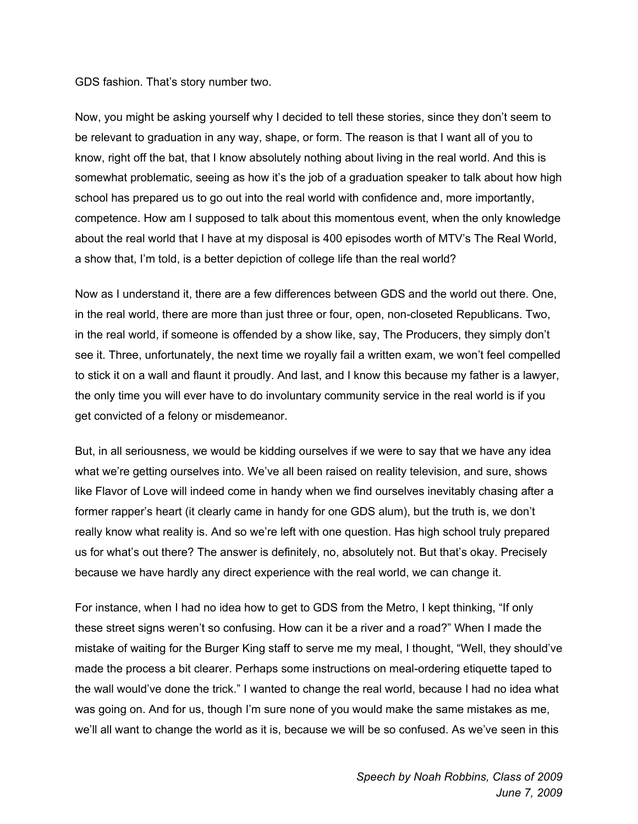## GDS fashion. That's story number two.

Now, you might be asking yourself why I decided to tell these stories, since they don't seem to be relevant to graduation in any way, shape, or form. The reason is that I want all of you to know, right off the bat, that I know absolutely nothing about living in the real world. And this is somewhat problematic, seeing as how it's the job of a graduation speaker to talk about how high school has prepared us to go out into the real world with confidence and, more importantly, competence. How am I supposed to talk about this momentous event, when the only knowledge about the real world that I have at my disposal is 400 episodes worth of MTV's The Real World, a show that, I'm told, is a better depiction of college life than the real world?

Now as I understand it, there are a few differences between GDS and the world out there. One, in the real world, there are more than just three or four, open, non-closeted Republicans. Two, in the real world, if someone is offended by a show like, say, The Producers, they simply don't see it. Three, unfortunately, the next time we royally fail a written exam, we won't feel compelled to stick it on a wall and flaunt it proudly. And last, and I know this because my father is a lawyer, the only time you will ever have to do involuntary community service in the real world is if you get convicted of a felony or misdemeanor.

But, in all seriousness, we would be kidding ourselves if we were to say that we have any idea what we're getting ourselves into. We've all been raised on reality television, and sure, shows like Flavor of Love will indeed come in handy when we find ourselves inevitably chasing after a former rapper's heart (it clearly came in handy for one GDS alum), but the truth is, we don't really know what reality is. And so we're left with one question. Has high school truly prepared us for what's out there? The answer is definitely, no, absolutely not. But that's okay. Precisely because we have hardly any direct experience with the real world, we can change it.

For instance, when I had no idea how to get to GDS from the Metro, I kept thinking, "If only these street signs weren't so confusing. How can it be a river and a road?" When I made the mistake of waiting for the Burger King staff to serve me my meal, I thought, "Well, they should've made the process a bit clearer. Perhaps some instructions on meal-ordering etiquette taped to the wall would've done the trick." I wanted to change the real world, because I had no idea what was going on. And for us, though I'm sure none of you would make the same mistakes as me, we'll all want to change the world as it is, because we will be so confused. As we've seen in this